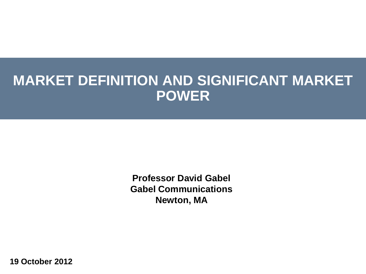#### **MARKET DEFINITION AND SIGNIFICANT MARKET POWER**

**Professor David Gabel Gabel Communications Newton, MA**

**19 October 2012**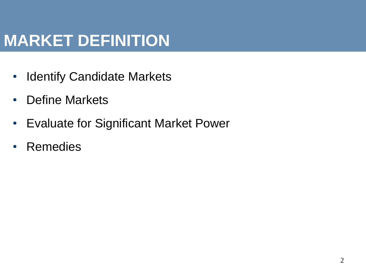# **MARKET DEFINITION**

- Identify Candidate Markets
- Define Markets
- Evaluate for Significant Market Power
- Remedies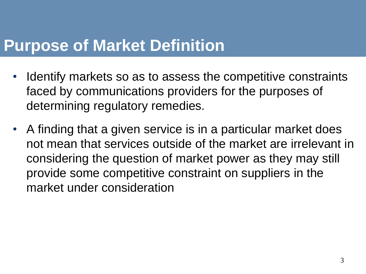#### **Purpose of Market Definition**

- Identify markets so as to assess the competitive constraints faced by communications providers for the purposes of determining regulatory remedies.
- A finding that a given service is in a particular market does not mean that services outside of the market are irrelevant in considering the question of market power as they may still provide some competitive constraint on suppliers in the market under consideration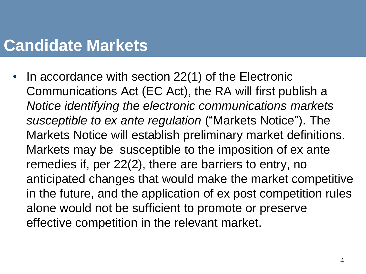#### **Candidate Markets**

In accordance with section 22(1) of the Electronic Communications Act (EC Act), the RA will first publish a *Notice identifying the electronic communications markets susceptible to ex ante regulation* ("Markets Notice"). The Markets Notice will establish preliminary market definitions. Markets may be susceptible to the imposition of ex ante remedies if, per 22(2), there are barriers to entry, no anticipated changes that would make the market competitive in the future, and the application of ex post competition rules alone would not be sufficient to promote or preserve effective competition in the relevant market.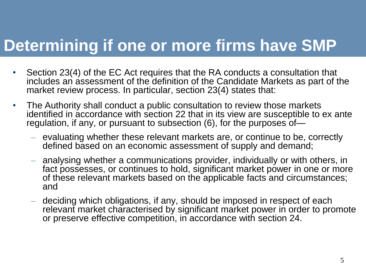### **Determining if one or more firms have SMP**

- Section 23(4) of the EC Act requires that the RA conducts a consultation that includes an assessment of the definition of the Candidate Markets as part of the market review process. In particular, section 23(4) states that:
- The Authority shall conduct a public consultation to review those markets identified in accordance with section 22 that in its view are susceptible to ex ante regulation, if any, or pursuant to subsection (6), for the purposes of—
	- evaluating whether these relevant markets are, or continue to be, correctly defined based on an economic assessment of supply and demand;
	- analysing whether a communications provider, individually or with others, in fact possesses, or continues to hold, significant market power in one or more of these relevant markets based on the applicable facts and circumstances; and
	- deciding which obligations, if any, should be imposed in respect of each relevant market characterised by significant market power in order to promote or preserve effective competition, in accordance with section 24.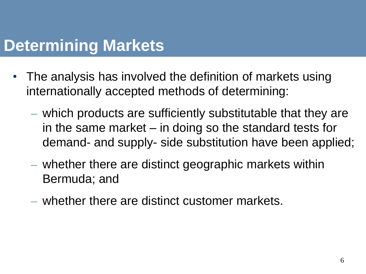#### **Determining Markets**

- The analysis has involved the definition of markets using internationally accepted methods of determining:
	- which products are sufficiently substitutable that they are in the same market – in doing so the standard tests for demand- and supply- side substitution have been applied;
	- whether there are distinct geographic markets within Bermuda; and
	- whether there are distinct customer markets.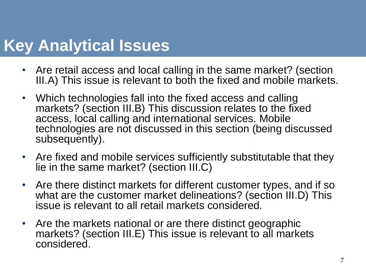# **Key Analytical Issues**

- Are retail access and local calling in the same market? (section III.A) This issue is relevant to both the fixed and mobile markets.
- Which technologies fall into the fixed access and calling markets? (section III.B) This discussion relates to the fixed access, local calling and international services. Mobile technologies are not discussed in this section (being discussed subsequently).
- Are fixed and mobile services sufficiently substitutable that they lie in the same market? (section III.C)
- Are there distinct markets for different customer types, and if so what are the customer market delineations? (section III.D) This issue is relevant to all retail markets considered.
- Are the markets national or are there distinct geographic markets? (section III.E) This issue is relevant to all markets considered.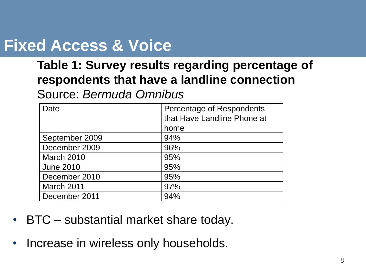# **Fixed Access & Voice**

#### **Table 1: Survey results regarding percentage of respondents that have a landline connection**

Source: *Bermuda Omnibus*

| Date              | Percentage of Respondents<br>that Have Landline Phone at<br>home |
|-------------------|------------------------------------------------------------------|
| September 2009    | 94%                                                              |
| December 2009     | 96%                                                              |
| <b>March 2010</b> | 95%                                                              |
| <b>June 2010</b>  | 95%                                                              |
| December 2010     | 95%                                                              |
| March 2011        | 97%                                                              |
| December 2011     | 94%                                                              |

- BTC substantial market share today.
- Increase in wireless only households.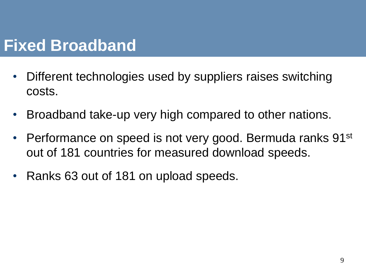# **Fixed Broadband**

- Different technologies used by suppliers raises switching costs.
- Broadband take-up very high compared to other nations.
- Performance on speed is not very good. Bermuda ranks 91<sup>st</sup> out of 181 countries for measured download speeds.
- Ranks 63 out of 181 on upload speeds.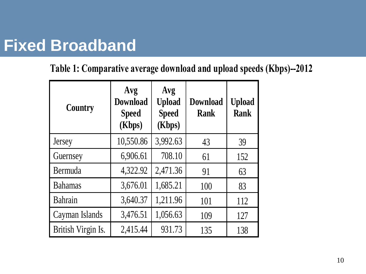# **Fixed Broadband**

#### **Table 1: Comparative average download and upload speeds (Kbps)--2012**

| <b>Country</b>     | Avg<br>Avg<br><b>Download</b><br><b>Upload</b><br><b>Speed</b><br><b>Speed</b><br>(Kbps)<br>(Kbps) |          | <b>Download</b><br><b>Rank</b> | <b>Upload</b><br><b>Rank</b> |  |
|--------------------|----------------------------------------------------------------------------------------------------|----------|--------------------------------|------------------------------|--|
| Jersey             | 10,550.86                                                                                          | 3,992.63 | 43                             | 39                           |  |
| Guernsey           | 6,906.61                                                                                           | 708.10   | 61                             | 152                          |  |
| Bermuda            | 4,322.92                                                                                           | 2,471.36 | 91                             | 63                           |  |
| <b>Bahamas</b>     | 3,676.01                                                                                           | 1,685.21 | 100                            | 83                           |  |
| Bahrain            | 3,640.37                                                                                           | 1,211.96 | 101                            | 112                          |  |
| Cayman Islands     | 3,476.51                                                                                           | 1,056.63 | 109                            | 127                          |  |
| British Virgin Is. | 2,415.44                                                                                           | 931.73   | 135                            | 138                          |  |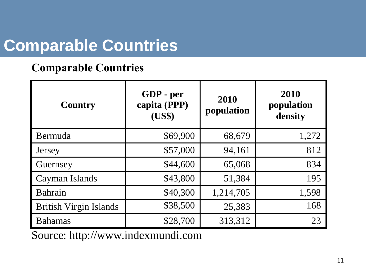# **Comparable Countries**

#### **Comparable Countries**

| <b>Country</b>                | GDP - per<br>capita (PPP)<br>(US\$) | 2010<br>population | 2010<br>population<br>density |  |
|-------------------------------|-------------------------------------|--------------------|-------------------------------|--|
| Bermuda                       | \$69,900                            | 68,679             | 1,272                         |  |
| Jersey                        | \$57,000                            | 94,161             | 812                           |  |
| Guernsey                      | \$44,600                            | 65,068             | 834                           |  |
| Cayman Islands                | \$43,800                            | 51,384             | 195                           |  |
| Bahrain                       | \$40,300                            | 1,214,705          | 1,598                         |  |
| <b>British Virgin Islands</b> | \$38,500                            | 25,383             | 168                           |  |
| <b>Bahamas</b>                | \$28,700                            | 313,312            | 23                            |  |

Source: http://www.indexmundi.com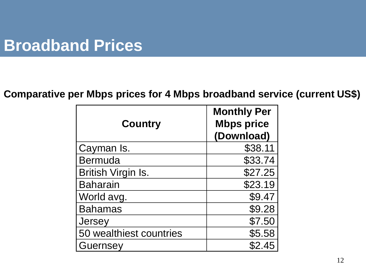#### **Broadband Prices**

#### **Comparative per Mbps prices for 4 Mbps broadband service (current US\$)**

| <b>Country</b>            | <b>Monthly Per</b><br><b>Mbps price</b><br>(Download) |  |  |
|---------------------------|-------------------------------------------------------|--|--|
| Cayman Is.                | \$38.11                                               |  |  |
| Bermuda                   | \$33.74                                               |  |  |
| <b>British Virgin Is.</b> | \$27.25                                               |  |  |
| <b>Baharain</b>           | \$23.19                                               |  |  |
| World avg.                | \$9.47                                                |  |  |
| <b>Bahamas</b>            | \$9.28                                                |  |  |
| Jersey                    | \$7.50                                                |  |  |
| 50 wealthiest countries   | \$5.58                                                |  |  |
| Guernsey                  | \$2.45                                                |  |  |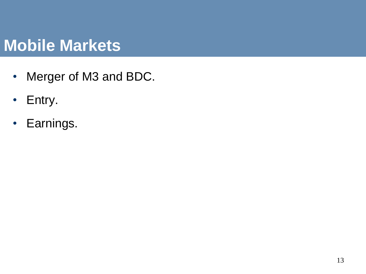### **Mobile Markets**

- Merger of M3 and BDC.
- Entry.
- Earnings.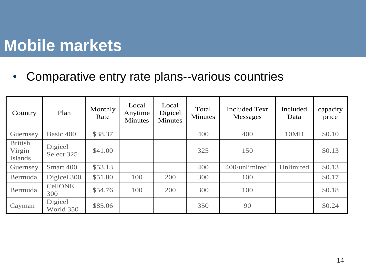# **Mobile markets**

• Comparative entry rate plans--various countries

| Country                             | Plan                  | Monthly<br>Rate | Local<br>Anytime<br><b>Minutes</b> | Local<br>Digicel<br><b>Minutes</b> | Total<br><b>Minutes</b> | <b>Included Text</b><br>Messages | Included<br>Data | capacity<br>price |
|-------------------------------------|-----------------------|-----------------|------------------------------------|------------------------------------|-------------------------|----------------------------------|------------------|-------------------|
| Guernsey                            | Basic 400             | \$38.37         |                                    |                                    | 400                     | 400                              | 10MB             | \$0.10            |
| <b>British</b><br>Virgin<br>Islands | Digicel<br>Select 325 | \$41.00         |                                    |                                    | 325                     | 150                              |                  | \$0.13            |
| Guernsey                            | Smart 400             | \$53.13         |                                    |                                    | 400                     | $400$ /unlimited $^1$            | Unlimited        | \$0.13            |
| Bermuda                             | Digicel 300           | \$51.80         | 100                                | 200                                | 300                     | 100                              |                  | \$0.17            |
| Bermuda                             | <b>CellONE</b><br>300 | \$54.76         | 100                                | 200                                | 300                     | 100                              |                  | \$0.18            |
| Cayman                              | Digicel<br>World 350  | \$85.06         |                                    |                                    | 350                     | 90                               |                  | \$0.24            |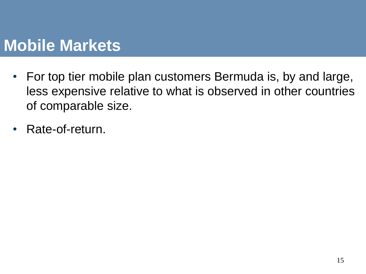### **Mobile Markets**

- For top tier mobile plan customers Bermuda is, by and large, less expensive relative to what is observed in other countries of comparable size.
- Rate-of-return.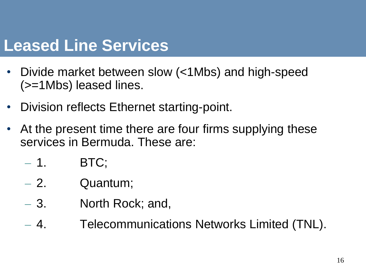#### **Leased Line Services**

- Divide market between slow (<1Mbs) and high-speed (>=1Mbs) leased lines.
- Division reflects Ethernet starting-point.
- At the present time there are four firms supplying these services in Bermuda. These are:
	- $-1.$  BTC;
	- 2. Quantum;
	- 3. North Rock; and,
	- 4. Telecommunications Networks Limited (TNL).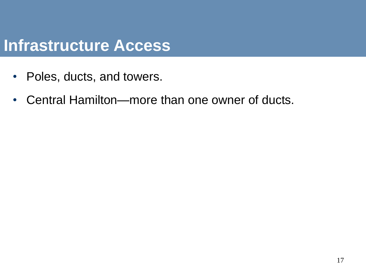#### **Infrastructure Access**

- Poles, ducts, and towers.
- Central Hamilton—more than one owner of ducts.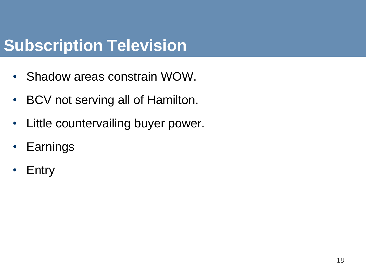# **Subscription Television**

- Shadow areas constrain WOW.
- BCV not serving all of Hamilton.
- Little countervailing buyer power.
- Earnings
- **Entry**